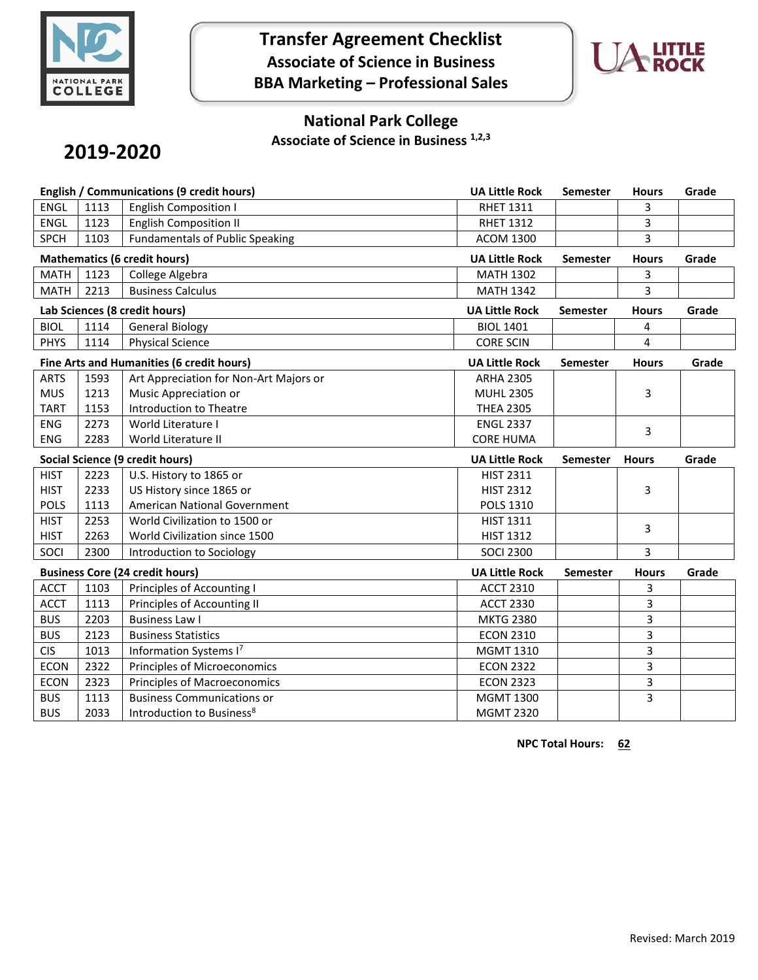

## **Transfer Agreement Checklist Associate of Science in Business BBA Marketing – Professional Sales**



### **National Park College**

**Associate of Science in Business 1,2,3**

# **2019-2020**

| English / Communications (9 credit hours) |                                           |                                        | <b>UA Little Rock</b> | <b>Semester</b> | <b>Hours</b> | Grade |
|-------------------------------------------|-------------------------------------------|----------------------------------------|-----------------------|-----------------|--------------|-------|
| <b>ENGL</b>                               | 1113                                      | <b>English Composition I</b>           | <b>RHET 1311</b>      |                 | 3            |       |
| <b>ENGL</b>                               | 1123                                      | <b>English Composition II</b>          | <b>RHET 1312</b>      |                 | 3            |       |
| <b>SPCH</b>                               | 1103                                      | <b>Fundamentals of Public Speaking</b> | <b>ACOM 1300</b>      |                 | 3            |       |
|                                           |                                           | <b>Mathematics (6 credit hours)</b>    | <b>UA Little Rock</b> | <b>Semester</b> | <b>Hours</b> | Grade |
| <b>MATH</b>                               | 1123                                      | College Algebra                        | <b>MATH 1302</b>      |                 | 3            |       |
| <b>MATH</b>                               | 2213                                      | <b>Business Calculus</b>               | <b>MATH 1342</b>      |                 | 3            |       |
|                                           |                                           | Lab Sciences (8 credit hours)          | <b>UA Little Rock</b> | <b>Semester</b> | <b>Hours</b> | Grade |
| <b>BIOL</b>                               | 1114                                      | <b>General Biology</b>                 | <b>BIOL 1401</b>      |                 | 4            |       |
| <b>PHYS</b>                               | 1114                                      | <b>Physical Science</b>                | <b>CORE SCIN</b>      |                 | 4            |       |
|                                           | Fine Arts and Humanities (6 credit hours) |                                        |                       | <b>Semester</b> | <b>Hours</b> | Grade |
| <b>ARTS</b>                               | 1593                                      | Art Appreciation for Non-Art Majors or | <b>ARHA 2305</b>      |                 |              |       |
| <b>MUS</b>                                | 1213                                      | Music Appreciation or                  | <b>MUHL 2305</b>      |                 | 3            |       |
| <b>TART</b>                               | 1153                                      | Introduction to Theatre                | <b>THEA 2305</b>      |                 |              |       |
| <b>ENG</b>                                | 2273                                      | World Literature I                     | <b>ENGL 2337</b>      |                 | 3            |       |
| <b>ENG</b>                                | 2283                                      | World Literature II                    | <b>CORE HUMA</b>      |                 |              |       |
| Social Science (9 credit hours)           |                                           |                                        |                       |                 |              |       |
|                                           |                                           |                                        | <b>UA Little Rock</b> | <b>Semester</b> | <b>Hours</b> | Grade |
| <b>HIST</b>                               | 2223                                      | U.S. History to 1865 or                | <b>HIST 2311</b>      |                 |              |       |
| <b>HIST</b>                               | 2233                                      | US History since 1865 or               | <b>HIST 2312</b>      |                 | 3            |       |
| <b>POLS</b>                               | 1113                                      | American National Government           | POLS 1310             |                 |              |       |
| <b>HIST</b>                               | 2253                                      | World Civilization to 1500 or          | HIST 1311             |                 |              |       |
| <b>HIST</b>                               | 2263                                      | World Civilization since 1500          | <b>HIST 1312</b>      |                 | 3            |       |
| SOCI                                      | 2300                                      | Introduction to Sociology              | <b>SOCI 2300</b>      |                 | 3            |       |
|                                           |                                           | <b>Business Core (24 credit hours)</b> | <b>UA Little Rock</b> | Semester        | <b>Hours</b> | Grade |
| <b>ACCT</b>                               | 1103                                      | Principles of Accounting I             | <b>ACCT 2310</b>      |                 | 3            |       |
| <b>ACCT</b>                               | 1113                                      | Principles of Accounting II            | <b>ACCT 2330</b>      |                 | 3            |       |
| <b>BUS</b>                                | 2203                                      | <b>Business Law I</b>                  | <b>MKTG 2380</b>      |                 | 3            |       |
| <b>BUS</b>                                | 2123                                      | <b>Business Statistics</b>             | <b>ECON 2310</b>      |                 | 3            |       |
| <b>CIS</b>                                | 1013                                      | Information Systems I7                 | <b>MGMT 1310</b>      |                 | 3            |       |
| <b>ECON</b>                               | 2322                                      | Principles of Microeconomics           | <b>ECON 2322</b>      |                 | 3            |       |
| <b>ECON</b>                               | 2323                                      | <b>Principles of Macroeconomics</b>    | <b>ECON 2323</b>      |                 | 3            |       |
| <b>BUS</b>                                | 1113                                      | <b>Business Communications or</b>      | <b>MGMT 1300</b>      |                 | 3            |       |

**NPC Total Hours: 62**